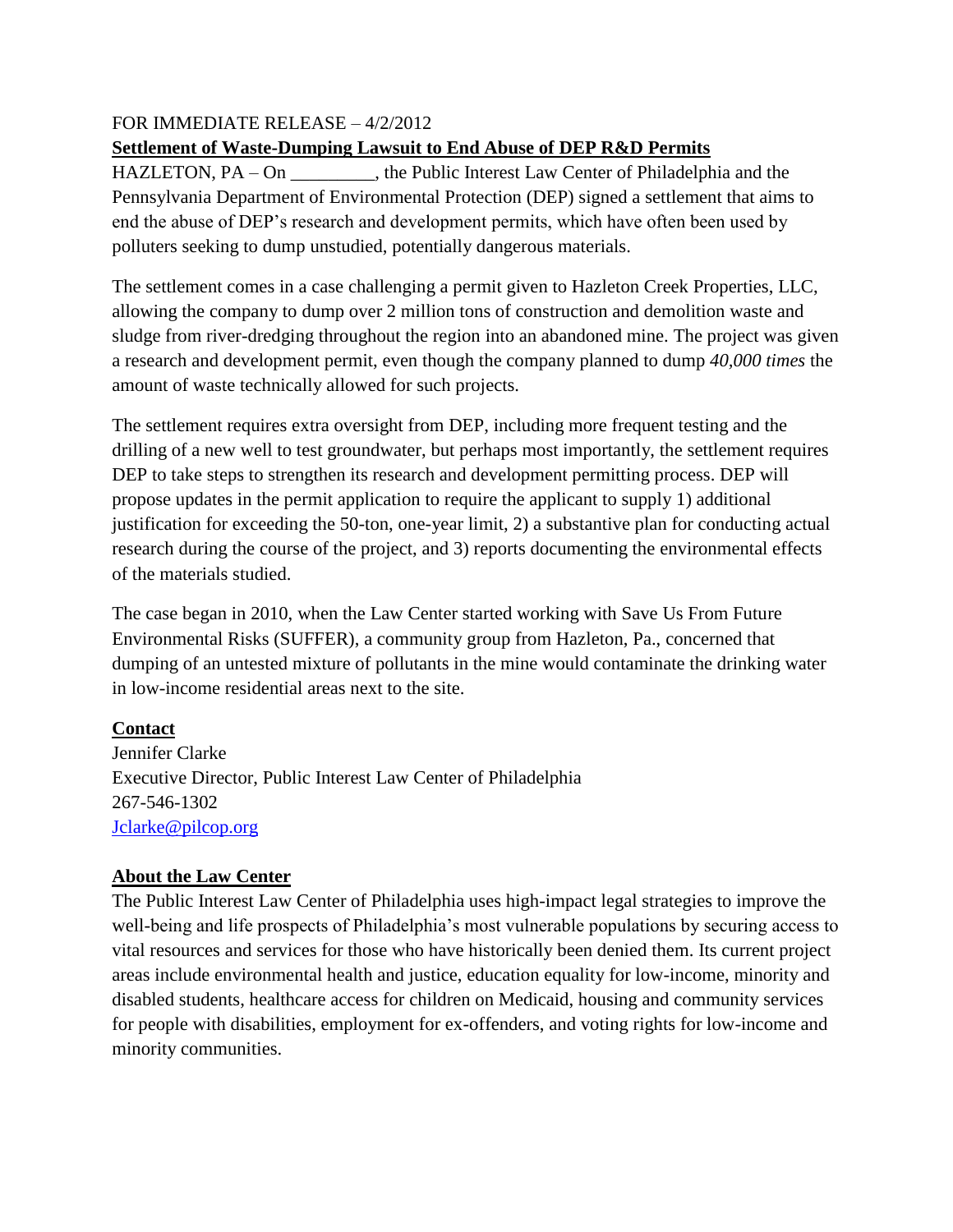## FOR IMMEDIATE RELEASE – 4/2/2012

## **Settlement of Waste-Dumping Lawsuit to End Abuse of DEP R&D Permits**

HAZLETON, PA – On , the Public Interest Law Center of Philadelphia and the Pennsylvania Department of Environmental Protection (DEP) signed a settlement that aims to end the abuse of DEP's research and development permits, which have often been used by polluters seeking to dump unstudied, potentially dangerous materials.

The settlement comes in a case challenging a permit given to Hazleton Creek Properties, LLC, allowing the company to dump over 2 million tons of construction and demolition waste and sludge from river-dredging throughout the region into an abandoned mine. The project was given a research and development permit, even though the company planned to dump *40,000 times* the amount of waste technically allowed for such projects.

The settlement requires extra oversight from DEP, including more frequent testing and the drilling of a new well to test groundwater, but perhaps most importantly, the settlement requires DEP to take steps to strengthen its research and development permitting process. DEP will propose updates in the permit application to require the applicant to supply 1) additional justification for exceeding the 50-ton, one-year limit, 2) a substantive plan for conducting actual research during the course of the project, and 3) reports documenting the environmental effects of the materials studied.

The case began in 2010, when the Law Center started working with Save Us From Future Environmental Risks (SUFFER), a community group from Hazleton, Pa., concerned that dumping of an untested mixture of pollutants in the mine would contaminate the drinking water in low-income residential areas next to the site.

## **Contact**

Jennifer Clarke Executive Director, Public Interest Law Center of Philadelphia 267-546-1302 [Jclarke@pilcop.org](mailto:Jclarke@pilcop.org)

## **About the Law Center**

The Public Interest Law Center of Philadelphia uses high-impact legal strategies to improve the well-being and life prospects of Philadelphia's most vulnerable populations by securing access to vital resources and services for those who have historically been denied them. Its current project areas include environmental health and justice, education equality for low-income, minority and disabled students, healthcare access for children on Medicaid, housing and community services for people with disabilities, employment for ex-offenders, and voting rights for low-income and minority communities.